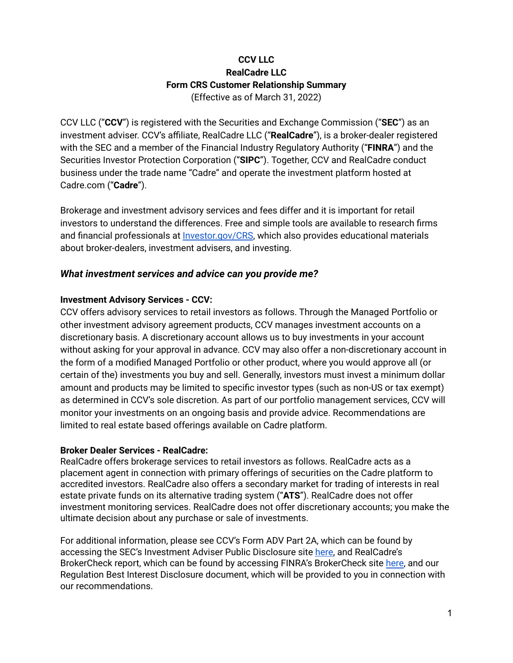### **CCV LLC RealCadre LLC Form CRS Customer Relationship Summary** (Effective as of March 31, 2022)

CCV LLC ("**CCV**") is registered with the Securities and Exchange Commission ("**SEC**") as an investment adviser. CCV's affiliate, RealCadre LLC ("**RealCadre**"), is a broker-dealer registered with the SEC and a member of the Financial Industry Regulatory Authority ("**FINRA**") and the Securities Investor Protection Corporation ("**SIPC**"). Together, CCV and RealCadre conduct business under the trade name "Cadre" and operate the investment platform hosted at Cadre.com ("**Cadre**").

Brokerage and investment advisory services and fees differ and it is important for retail investors to understand the differences. Free and simple tools are available to research firms and financial professionals at [Investor.gov/CRS](https://www.investor.gov/CRS), which also provides educational materials about broker-dealers, investment advisers, and investing.

#### *What investment services and advice can you provide me?*

#### **Investment Advisory Services - CCV:**

CCV offers advisory services to retail investors as follows. Through the Managed Portfolio or other investment advisory agreement products, CCV manages investment accounts on a discretionary basis. A discretionary account allows us to buy investments in your account without asking for your approval in advance. CCV may also offer a non-discretionary account in the form of a modified Managed Portfolio or other product, where you would approve all (or certain of the) investments you buy and sell. Generally, investors must invest a minimum dollar amount and products may be limited to specific investor types (such as non-US or tax exempt) as determined in CCV's sole discretion. As part of our portfolio management services, CCV will monitor your investments on an ongoing basis and provide advice. Recommendations are limited to real estate based offerings available on Cadre platform.

#### **Broker Dealer Services - RealCadre:**

RealCadre offers brokerage services to retail investors as follows. RealCadre acts as a placement agent in connection with primary offerings of securities on the Cadre platform to accredited investors. RealCadre also offers a secondary market for trading of interests in real estate private funds on its alternative trading system ("**ATS**"). RealCadre does not offer investment monitoring services. RealCadre does not offer discretionary accounts; you make the ultimate decision about any purchase or sale of investments.

For additional information, please see CCV's Form ADV Part 2A, which can be found by accessing the SEC's Investment Adviser Public Disclosure site here, and [RealCadre's](https://files.adviserinfo.sec.gov/IAPD/Content/Common/crd_iapd_Brochure.aspx?BRCHR_VRSN_ID=636391) [BrokerCheck](https://files.adviserinfo.sec.gov/IAPD/Content/Common/crd_iapd_Brochure.aspx?BRCHR_VRSN_ID=636391) report, which can be found by accessing FINRA's BrokerCheck site [here](https://brokercheck.finra.org/), and our Regulation Best Interest Disclosure document, which will be provided to you in connection with our recommendations.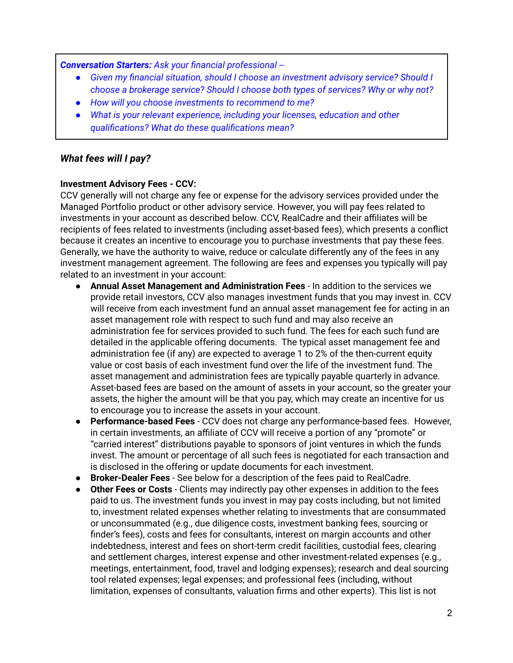*Conversation Starters: Ask your financial professional --*

- *● Given my financial situation, should I choose an investment advisory service? Should I choose a brokerage service? Should I choose both types of services? Why or why not?*
- *● How will you choose investments to recommend to me?*
- *● What is your relevant experience, including your licenses, education and other qualifications? What do these qualifications mean?*

### *What fees will I pay?*

#### **Investment Advisory Fees - CCV:**

CCV generally will not charge any fee or expense for the advisory services provided under the Managed Portfolio product or other advisory service. However, you will pay fees related to investments in your account as described below. CCV, RealCadre and their affiliates will be recipients of fees related to investments (including asset-based fees), which presents a conflict because it creates an incentive to encourage you to purchase investments that pay these fees. Generally, we have the authority to waive, reduce or calculate differently any of the fees in any investment management agreement. The following are fees and expenses you typically will pay related to an investment in your account:

- **Annual Asset Management and Administration Fees** In addition to the services we provide retail investors, CCV also manages investment funds that you may invest in. CCV will receive from each investment fund an annual asset management fee for acting in an asset management role with respect to such fund and may also receive an administration fee for services provided to such fund. The fees for each such fund are detailed in the applicable offering documents. The typical asset management fee and administration fee (if any) are expected to average 1 to 2% of the then-current equity value or cost basis of each investment fund over the life of the investment fund. The asset management and administration fees are typically payable quarterly in advance. Asset-based fees are based on the amount of assets in your account, so the greater your assets, the higher the amount will be that you pay, which may create an incentive for us to encourage you to increase the assets in your account.
- **Performance-based Fees** CCV does not charge any performance-based fees. However, in certain investments, an affiliate of CCV will receive a portion of any "promote" or "carried interest" distributions payable to sponsors of joint ventures in which the funds invest. The amount or percentage of all such fees is negotiated for each transaction and is disclosed in the offering or update documents for each investment.
- **Broker-Dealer Fees** See below for a description of the fees paid to RealCadre.
- **Other Fees or Costs** Clients may indirectly pay other expenses in addition to the fees paid to us. The investment funds you invest in may pay costs including, but not limited to, investment related expenses whether relating to investments that are consummated or unconsummated (e.g., due diligence costs, investment banking fees, sourcing or finder's fees), costs and fees for consultants, interest on margin accounts and other indebtedness, interest and fees on short-term credit facilities, custodial fees, clearing and settlement charges, interest expense and other investment-related expenses (e.g., meetings, entertainment, food, travel and lodging expenses); research and deal sourcing tool related expenses; legal expenses; and professional fees (including, without limitation, expenses of consultants, valuation firms and other experts). This list is not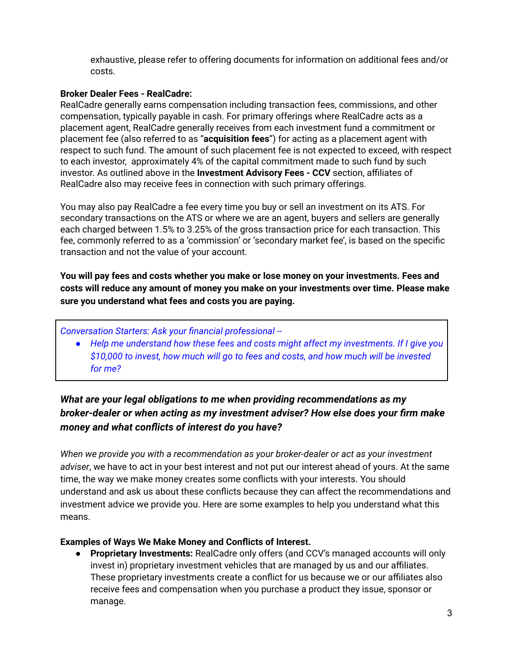exhaustive, please refer to offering documents for information on additional fees and/or costs.

#### **Broker Dealer Fees - RealCadre:**

RealCadre generally earns compensation including transaction fees, commissions, and other compensation, typically payable in cash. For primary offerings where RealCadre acts as a placement agent, RealCadre generally receives from each investment fund a commitment or placement fee (also referred to as "**acquisition fees**") for acting as a placement agent with respect to such fund. The amount of such placement fee is not expected to exceed, with respect to each investor, approximately 4% of the capital commitment made to such fund by such investor. As outlined above in the **Investment Advisory Fees - CCV** section, affiliates of RealCadre also may receive fees in connection with such primary offerings.

You may also pay RealCadre a fee every time you buy or sell an investment on its ATS. For secondary transactions on the ATS or where we are an agent, buyers and sellers are generally each charged between 1.5% to 3.25% of the gross transaction price for each transaction. This fee, commonly referred to as a 'commission' or 'secondary market fee', is based on the specific transaction and not the value of your account.

**You will pay fees and costs whether you make or lose money on your investments. Fees and costs will reduce any amount of money you make on your investments over time. Please make sure you understand what fees and costs you are paying.**

*Conversation Starters: Ask your financial professional --*

*● Help me understand how these fees and costs might affect my investments. If I give you \$10,000 to invest, how much will go to fees and costs, and how much will be invested for me?*

# *What are your legal obligations to me when providing recommendations as my broker-dealer or when acting as my investment adviser? How else does your firm make money and what conflicts of interest do you have?*

*When we provide you with a recommendation as your broker-dealer or act as your investment adviser*, we have to act in your best interest and not put our interest ahead of yours. At the same time, the way we make money creates some conflicts with your interests. You should understand and ask us about these conflicts because they can affect the recommendations and investment advice we provide you. Here are some examples to help you understand what this means.

#### **Examples of Ways We Make Money and Conflicts of Interest.**

● **Proprietary Investments:** RealCadre only offers (and CCV's managed accounts will only invest in) proprietary investment vehicles that are managed by us and our affiliates. These proprietary investments create a conflict for us because we or our affiliates also receive fees and compensation when you purchase a product they issue, sponsor or manage.